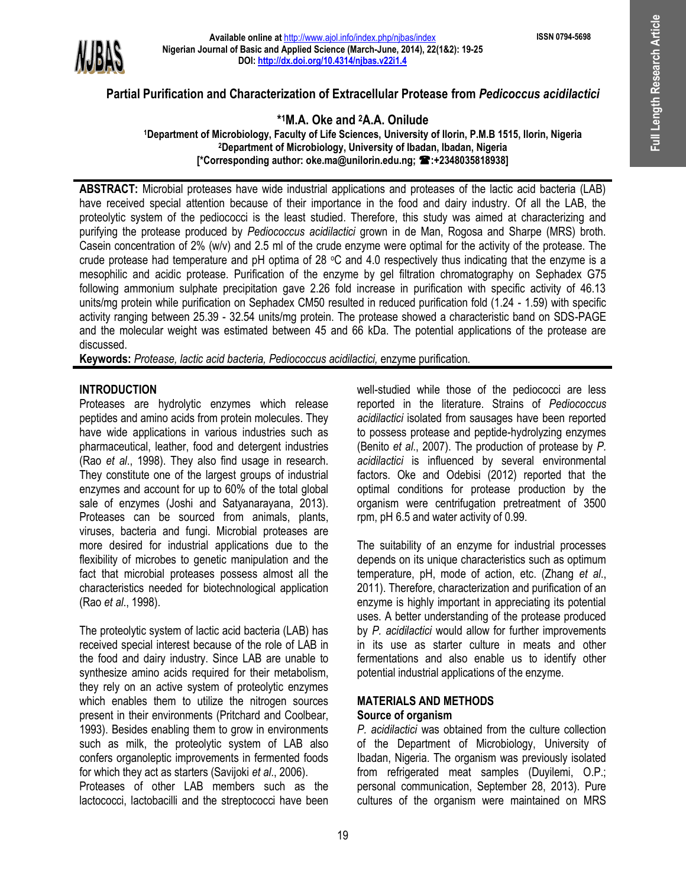**ISSN 0794-5698**



# **Partial Purification and Characterization of Extracellular Protease from** *Pedicoccus acidilactici*

# **\* <sup>1</sup>M.A. Oke and 2A.A. Onilude**

**<sup>1</sup>Department of Microbiology, Faculty of Life Sciences, University of Ilorin, P.M.B 1515, Ilorin, Nigeria <sup>2</sup>Department of Microbiology, University of Ibadan, Ibadan, Nigeria [\*Corresponding author: oke.ma@unilorin.edu.ng; :+2348035818938]**

**ABSTRACT:** Microbial proteases have wide industrial applications and proteases of the lactic acid bacteria (LAB) have received special attention because of their importance in the food and dairy industry. Of all the LAB, the proteolytic system of the pediococci is the least studied. Therefore, this study was aimed at characterizing and purifying the protease produced by *Pediococcus acidilactici* grown in de Man, Rogosa and Sharpe (MRS) broth. Casein concentration of 2% (w/v) and 2.5 ml of the crude enzyme were optimal for the activity of the protease. The crude protease had temperature and  $pH$  optima of 28  $\degree$ C and 4.0 respectively thus indicating that the enzyme is a mesophilic and acidic protease. Purification of the enzyme by gel filtration chromatography on Sephadex G75 following ammonium sulphate precipitation gave 2.26 fold increase in purification with specific activity of 46.13 units/mg protein while purification on Sephadex CM50 resulted in reduced purification fold (1.24 - 1.59) with specific activity ranging between 25.39 - 32.54 units/mg protein. The protease showed a characteristic band on SDS-PAGE and the molecular weight was estimated between 45 and 66 kDa. The potential applications of the protease are discussed.

**Keywords:** *Protease, lactic acid bacteria, Pediococcus acidilactici,* enzyme purification*.*

## **INTRODUCTION**

Proteases are hydrolytic enzymes which release peptides and amino acids from protein molecules. They have wide applications in various industries such as pharmaceutical, leather, food and detergent industries (Rao *et al*., 1998). They also find usage in research. They constitute one of the largest groups of industrial enzymes and account for up to 60% of the total global sale of enzymes (Joshi and Satyanarayana, 2013). Proteases can be sourced from animals, plants, viruses, bacteria and fungi. Microbial proteases are more desired for industrial applications due to the flexibility of microbes to genetic manipulation and the fact that microbial proteases possess almost all the characteristics needed for biotechnological application (Rao *et al*., 1998).

The proteolytic system of lactic acid bacteria (LAB) has received special interest because of the role of LAB in the food and dairy industry. Since LAB are unable to synthesize amino acids required for their metabolism, they rely on an active system of proteolytic enzymes which enables them to utilize the nitrogen sources present in their environments (Pritchard and Coolbear, 1993). Besides enabling them to grow in environments such as milk, the proteolytic system of LAB also confers organoleptic improvements in fermented foods for which they act as starters (Savijoki *et al*., 2006).

Proteases of other LAB members such as the lactococci, lactobacilli and the streptococci have been well-studied while those of the pediococci are less reported in the literature. Strains of *Pediococcus acidilactici* isolated from sausages have been reported to possess protease and peptide-hydrolyzing enzymes (Benito *et al*., 2007). The production of protease by *P. acidilactici* is influenced by several environmental factors. Oke and Odebisi (2012) reported that the optimal conditions for protease production by the organism were centrifugation pretreatment of 3500 rpm, pH 6.5 and water activity of 0.99.

The suitability of an enzyme for industrial processes depends on its unique characteristics such as optimum temperature, pH, mode of action, etc. (Zhang *et al*., 2011). Therefore, characterization and purification of an enzyme is highly important in appreciating its potential uses. A better understanding of the protease produced by *P. acidilactici* would allow for further improvements in its use as starter culture in meats and other fermentations and also enable us to identify other potential industrial applications of the enzyme.

### **MATERIALS AND METHODS Source of organism**

*P. acidilactici* was obtained from the culture collection of the Department of Microbiology, University of Ibadan, Nigeria. The organism was previously isolated from refrigerated meat samples (Duyilemi, O.P.; personal communication, September 28, 2013). Pure cultures of the organism were maintained on MRS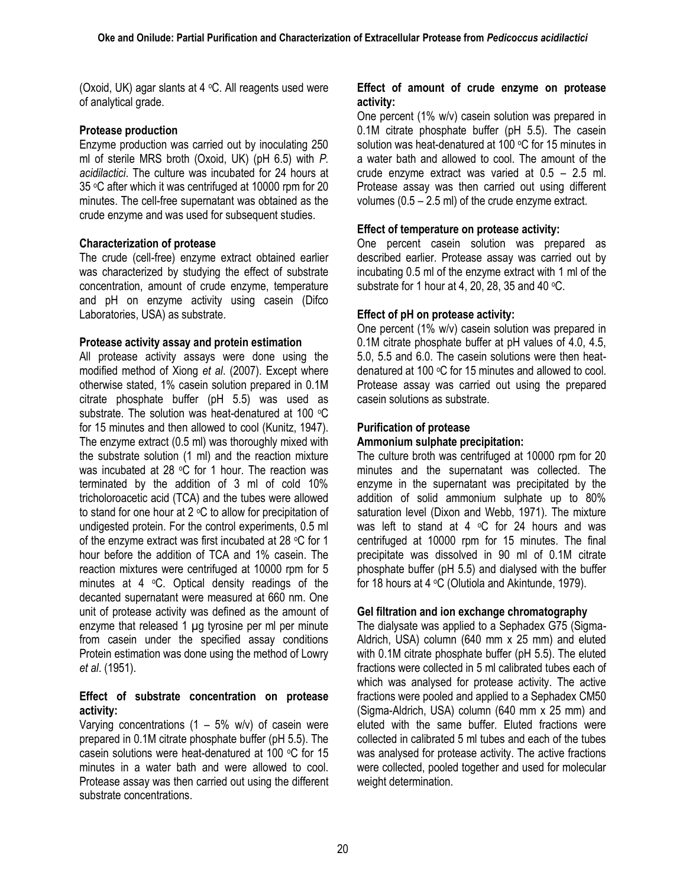(Oxoid, UK) agar slants at  $4 \, \degree$ C. All reagents used were of analytical grade.

# **Protease production**

Enzyme production was carried out by inoculating 250 ml of sterile MRS broth (Oxoid, UK) (pH 6.5) with *P. acidilactici*. The culture was incubated for 24 hours at 35 °C after which it was centrifuged at 10000 rpm for 20 minutes. The cell-free supernatant was obtained as the crude enzyme and was used for subsequent studies.

# **Characterization of protease**

The crude (cell-free) enzyme extract obtained earlier was characterized by studying the effect of substrate concentration, amount of crude enzyme, temperature and pH on enzyme activity using casein (Difco Laboratories, USA) as substrate.

## **Protease activity assay and protein estimation**

All protease activity assays were done using the modified method of Xiong *et al*. (2007). Except where otherwise stated, 1% casein solution prepared in 0.1M citrate phosphate buffer (pH 5.5) was used as substrate. The solution was heat-denatured at 100 °C for 15 minutes and then allowed to cool (Kunitz, 1947). The enzyme extract (0.5 ml) was thoroughly mixed with the substrate solution (1 ml) and the reaction mixture was incubated at 28  $\degree$ C for 1 hour. The reaction was terminated by the addition of 3 ml of cold 10% tricholoroacetic acid (TCA) and the tubes were allowed to stand for one hour at  $2 \text{ °C}$  to allow for precipitation of undigested protein. For the control experiments, 0.5 ml of the enzyme extract was first incubated at 28 °C for 1 hour before the addition of TCA and 1% casein. The reaction mixtures were centrifuged at 10000 rpm for 5 minutes at  $4 \degree C$ . Optical density readings of the decanted supernatant were measured at 660 nm. One unit of protease activity was defined as the amount of enzyme that released 1 µg tyrosine per ml per minute from casein under the specified assay conditions Protein estimation was done using the method of Lowry *et al*. (1951).

## **Effect of substrate concentration on protease activity:**

Varying concentrations  $(1 - 5\% \text{ w/v})$  of casein were prepared in 0.1M citrate phosphate buffer (pH 5.5). The casein solutions were heat-denatured at 100  $\degree$ C for 15 minutes in a water bath and were allowed to cool. Protease assay was then carried out using the different substrate concentrations.

### **Effect of amount of crude enzyme on protease activity:**

One percent (1% w/v) casein solution was prepared in 0.1M citrate phosphate buffer (pH 5.5). The casein solution was heat-denatured at 100 °C for 15 minutes in a water bath and allowed to cool. The amount of the crude enzyme extract was varied at 0.5 – 2.5 ml. Protease assay was then carried out using different volumes (0.5 – 2.5 ml) of the crude enzyme extract.

# **Effect of temperature on protease activity:**

One percent casein solution was prepared as described earlier. Protease assay was carried out by incubating 0.5 ml of the enzyme extract with 1 ml of the substrate for 1 hour at 4, 20, 28, 35 and 40  $\degree$ C.

## **Effect of pH on protease activity:**

One percent (1% w/v) casein solution was prepared in 0.1M citrate phosphate buffer at pH values of 4.0, 4.5, 5.0, 5.5 and 6.0. The casein solutions were then heatdenatured at 100  $\mathrm{^{\circ}C}$  for 15 minutes and allowed to cool. Protease assay was carried out using the prepared casein solutions as substrate.

# **Purification of protease**

# **Ammonium sulphate precipitation:**

The culture broth was centrifuged at 10000 rpm for 20 minutes and the supernatant was collected. The enzyme in the supernatant was precipitated by the addition of solid ammonium sulphate up to 80% saturation level (Dixon and Webb, 1971). The mixture was left to stand at 4  $\circ$ C for 24 hours and was centrifuged at 10000 rpm for 15 minutes. The final precipitate was dissolved in 90 ml of 0.1M citrate phosphate buffer (pH 5.5) and dialysed with the buffer for 18 hours at  $4 \text{ °C}$  (Olutiola and Akintunde, 1979).

## **Gel filtration and ion exchange chromatography**

The dialysate was applied to a Sephadex G75 (Sigma-Aldrich, USA) column (640 mm x 25 mm) and eluted with 0.1M citrate phosphate buffer (pH 5.5). The eluted fractions were collected in 5 ml calibrated tubes each of which was analysed for protease activity. The active fractions were pooled and applied to a Sephadex CM50 (Sigma-Aldrich, USA) column (640 mm x 25 mm) and eluted with the same buffer. Eluted fractions were collected in calibrated 5 ml tubes and each of the tubes was analysed for protease activity. The active fractions were collected, pooled together and used for molecular weight determination.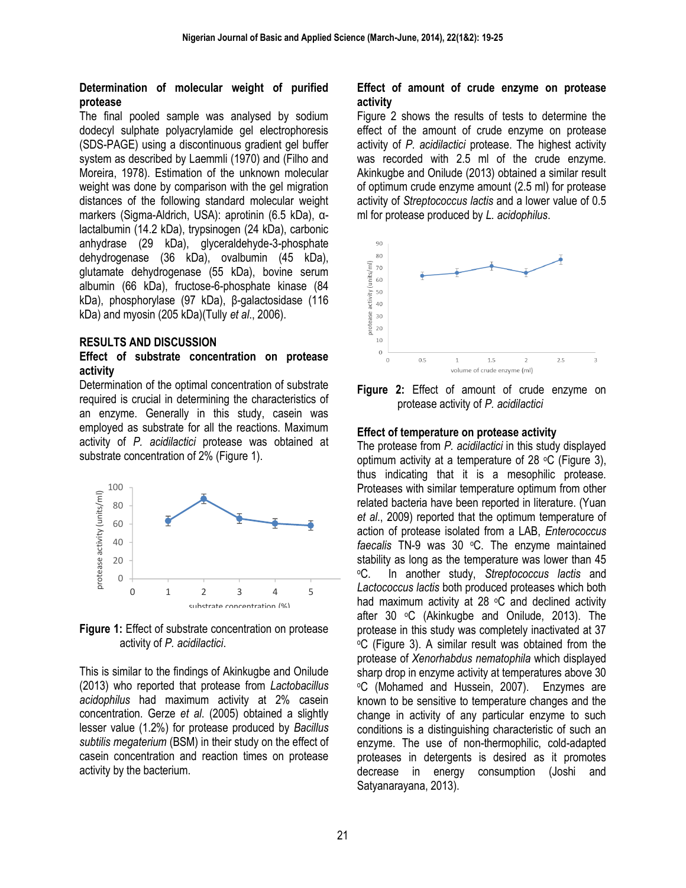### **Determination of molecular weight of purified protease**

The final pooled sample was analysed by sodium dodecyl sulphate polyacrylamide gel electrophoresis (SDS-PAGE) using a discontinuous gradient gel buffer system as described by Laemmli (1970) and (Filho and Moreira, 1978). Estimation of the unknown molecular weight was done by comparison with the gel migration distances of the following standard molecular weight markers (Sigma-Aldrich, USA): aprotinin (6.5 kDa), αlactalbumin (14.2 kDa), trypsinogen (24 kDa), carbonic anhydrase (29 kDa), glyceraldehyde-3-phosphate dehydrogenase (36 kDa), ovalbumin (45 kDa), glutamate dehydrogenase (55 kDa), bovine serum albumin (66 kDa), fructose-6-phosphate kinase (84 kDa), phosphorylase (97 kDa), β-galactosidase (116 kDa) and myosin (205 kDa)(Tully *et al*., 2006).

#### **RESULTS AND DISCUSSION**

#### **Effect of substrate concentration on protease activity**

Determination of the optimal concentration of substrate required is crucial in determining the characteristics of an enzyme. Generally in this study, casein was employed as substrate for all the reactions. Maximum activity of *P. acidilactici* protease was obtained at substrate concentration of 2% (Figure 1).



**Figure 1:** Effect of substrate concentration on protease activity of *P. acidilactici*.

This is similar to the findings of Akinkugbe and Onilude (2013) who reported that protease from *Lactobacillus acidophilus* had maximum activity at 2% casein concentration. Gerze *et al*. (2005) obtained a slightly lesser value (1.2%) for protease produced by *Bacillus subtilis megaterium* (BSM) in their study on the effect of casein concentration and reaction times on protease activity by the bacterium.

### **Effect of amount of crude enzyme on protease activity**

Figure 2 shows the results of tests to determine the effect of the amount of crude enzyme on protease activity of *P. acidilactici* protease. The highest activity was recorded with 2.5 ml of the crude enzyme. Akinkugbe and Onilude (2013) obtained a similar result of optimum crude enzyme amount (2.5 ml) for protease activity of *Streptococcus lactis* and a lower value of 0.5 ml for protease produced by *L. acidophilus*.



**Figure 2:** Effect of amount of crude enzyme on protease activity of *P. acidilactici*

#### **Effect of temperature on protease activity**

The protease from *P. acidilactici* in this study displayed optimum activity at a temperature of 28  $\degree$ C (Figure 3), thus indicating that it is a mesophilic protease. Proteases with similar temperature optimum from other related bacteria have been reported in literature. (Yuan *et al*., 2009) reported that the optimum temperature of action of protease isolated from a LAB, *Enterococcus*  faecalis TN-9 was 30 °C. The enzyme maintained stability as long as the temperature was lower than 45 <sup>o</sup>C. In another study, *Streptococcus lactis* and *Lactococcus lactis* both produced proteases which both had maximum activity at 28  $\degree$ C and declined activity after 30 °C (Akinkugbe and Onilude, 2013). The protease in this study was completely inactivated at 37 <sup>o</sup>C (Figure 3). A similar result was obtained from the protease of *Xenorhabdus nematophila* which displayed sharp drop in enzyme activity at temperatures above 30 <sup>o</sup>C (Mohamed and Hussein, 2007). Enzymes are known to be sensitive to temperature changes and the change in activity of any particular enzyme to such conditions is a distinguishing characteristic of such an enzyme. The use of non-thermophilic, cold-adapted proteases in detergents is desired as it promotes decrease in energy consumption (Joshi and Satyanarayana, 2013).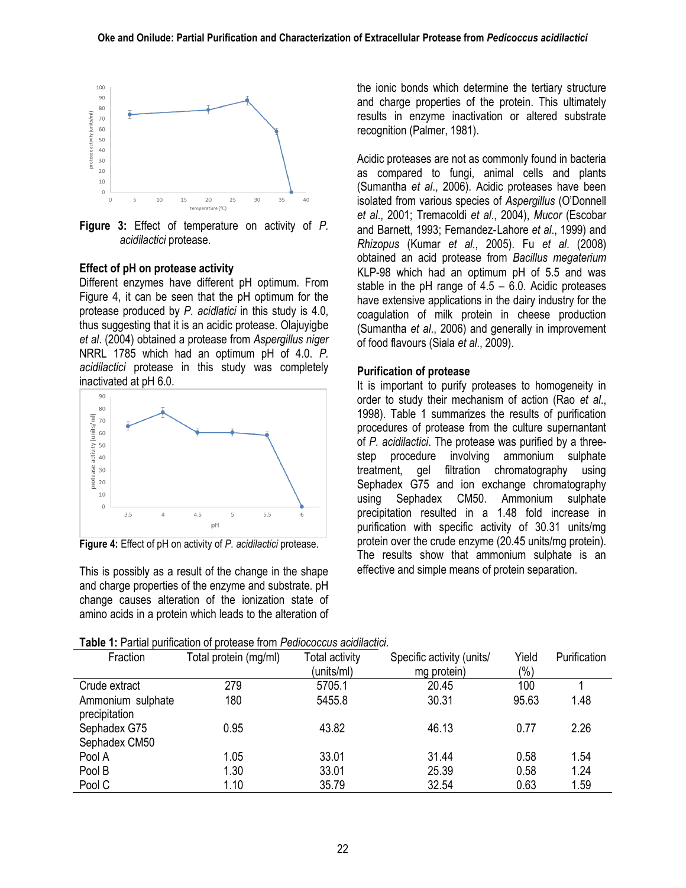

**Figure 3:** Effect of temperature on activity of *P. acidilactici* protease.

#### **Effect of pH on protease activity**

Different enzymes have different pH optimum. From Figure 4, it can be seen that the pH optimum for the protease produced by *P. acidlatici* in this study is 4.0, thus suggesting that it is an acidic protease. Olajuyigbe *et al*. (2004) obtained a protease from *Aspergillus niger* NRRL 1785 which had an optimum pH of 4.0. *P. acidilactici* protease in this study was completely inactivated at pH 6.0.



**Figure 4:** Effect of pH on activity of *P. acidilactici* protease.

This is possibly as a result of the change in the shape and charge properties of the enzyme and substrate. pH change causes alteration of the ionization state of amino acids in a protein which leads to the alteration of the ionic bonds which determine the tertiary structure and charge properties of the protein. This ultimately results in enzyme inactivation or altered substrate recognition (Palmer, 1981).

Acidic proteases are not as commonly found in bacteria as compared to fungi, animal cells and plants (Sumantha *et al*., 2006). Acidic proteases have been isolated from various species of *Aspergillus* (O'Donnell *et al*., 2001; Tremacoldi *et al*., 2004), *Mucor* (Escobar and Barnett, 1993; Fernandez‐Lahore *et al*., 1999) and *Rhizopus* (Kumar *et al*., 2005). Fu *et al*. (2008) obtained an acid protease from *Bacillus megaterium*  KLP-98 which had an optimum pH of 5.5 and was stable in the pH range of  $4.5 - 6.0$ . Acidic proteases have extensive applications in the dairy industry for the coagulation of milk protein in cheese production (Sumantha *et al*., 2006) and generally in improvement of food flavours (Siala *et al*., 2009).

#### **Purification of protease**

It is important to purify proteases to homogeneity in order to study their mechanism of action (Rao *et al*., 1998). Table 1 summarizes the results of purification procedures of protease from the culture supernantant of *P. acidilactici*. The protease was purified by a threestep procedure involving ammonium sulphate treatment, gel filtration chromatography using Sephadex G75 and ion exchange chromatography using Sephadex CM50. Ammonium sulphate precipitation resulted in a 1.48 fold increase in purification with specific activity of 30.31 units/mg protein over the crude enzyme (20.45 units/mg protein). The results show that ammonium sulphate is an effective and simple means of protein separation.

**Table 1:** Partial purification of protease from *Pediococcus acidilactici.*

| Fraction                           | Total protein (mg/ml) | Total activity<br>(units/ml) | Specific activity (units/<br>mg protein) | Yield<br>$(\% )$ | Purification |
|------------------------------------|-----------------------|------------------------------|------------------------------------------|------------------|--------------|
| Crude extract                      | 279                   | 5705.1                       | 20.45                                    | 100              |              |
| Ammonium sulphate<br>precipitation | 180                   | 5455.8                       | 30.31                                    | 95.63            | 1.48         |
| Sephadex G75<br>Sephadex CM50      | 0.95                  | 43.82                        | 46.13                                    | 0.77             | 2.26         |
| Pool A                             | 1.05                  | 33.01                        | 31.44                                    | 0.58             | 1.54         |
| Pool B                             | 1.30                  | 33.01                        | 25.39                                    | 0.58             | 1.24         |
| Pool C                             | 1.10                  | 35.79                        | 32.54                                    | 0.63             | 1.59         |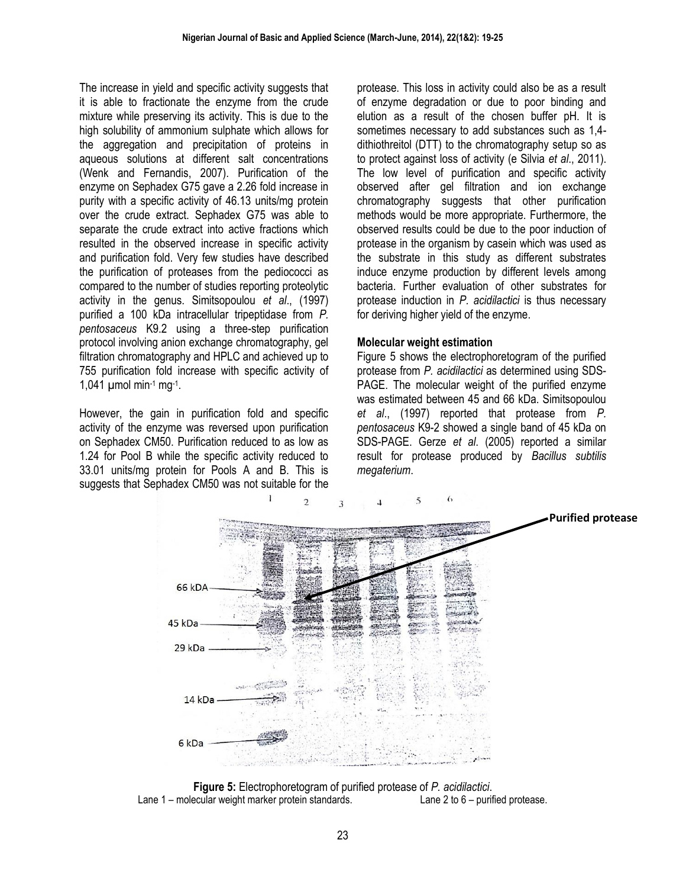The increase in yield and specific activity suggests that it is able to fractionate the enzyme from the crude mixture while preserving its activity. This is due to the high solubility of ammonium sulphate which allows for the aggregation and precipitation of proteins in aqueous solutions at different salt concentrations (Wenk and Fernandis, 2007). Purification of the enzyme on Sephadex G75 gave a 2.26 fold increase in purity with a specific activity of 46.13 units/mg protein over the crude extract. Sephadex G75 was able to separate the crude extract into active fractions which resulted in the observed increase in specific activity and purification fold. Very few studies have described the purification of proteases from the pediococci as compared to the number of studies reporting proteolytic activity in the genus. Simitsopoulou *et al*., (1997) purified a 100 kDa intracellular tripeptidase from *P. pentosaceus* K9.2 using a three-step purification protocol involving anion exchange chromatography, gel filtration chromatography and HPLC and achieved up to 755 purification fold increase with specific activity of 1,041  $\mu$ mol min-1 mg-1.

However, the gain in purification fold and specific activity of the enzyme was reversed upon purification on Sephadex CM50. Purification reduced to as low as 1.24 for Pool B while the specific activity reduced to 33.01 units/mg protein for Pools A and B. This is suggests that Sephadex CM50 was not suitable for the

protease. This loss in activity could also be as a result of enzyme degradation or due to poor binding and elution as a result of the chosen buffer pH. It is sometimes necessary to add substances such as 1,4 dithiothreitol (DTT) to the chromatography setup so as to protect against loss of activity (e Silvia *et al*., 2011). The low level of purification and specific activity observed after gel filtration and ion exchange chromatography suggests that other purification methods would be more appropriate. Furthermore, the observed results could be due to the poor induction of protease in the organism by casein which was used as the substrate in this study as different substrates induce enzyme production by different levels among bacteria. Further evaluation of other substrates for protease induction in *P. acidilactici* is thus necessary for deriving higher yield of the enzyme.

#### **Molecular weight estimation**

Figure 5 shows the electrophoretogram of the purified protease from *P. acidilactici* as determined using SDS-PAGE. The molecular weight of the purified enzyme was estimated between 45 and 66 kDa. Simitsopoulou *et al*., (1997) reported that protease from *P. pentosaceus* K9-2 showed a single band of 45 kDa on SDS-PAGE. Gerze *et al*. (2005) reported a similar result for protease produced by *Bacillus subtilis megaterium*.



**Figure 5:** Electrophoretogram of purified protease of *P. acidilactici*. Lane 1 – molecular weight marker protein standards. Lane 2 to 6 – purified protease.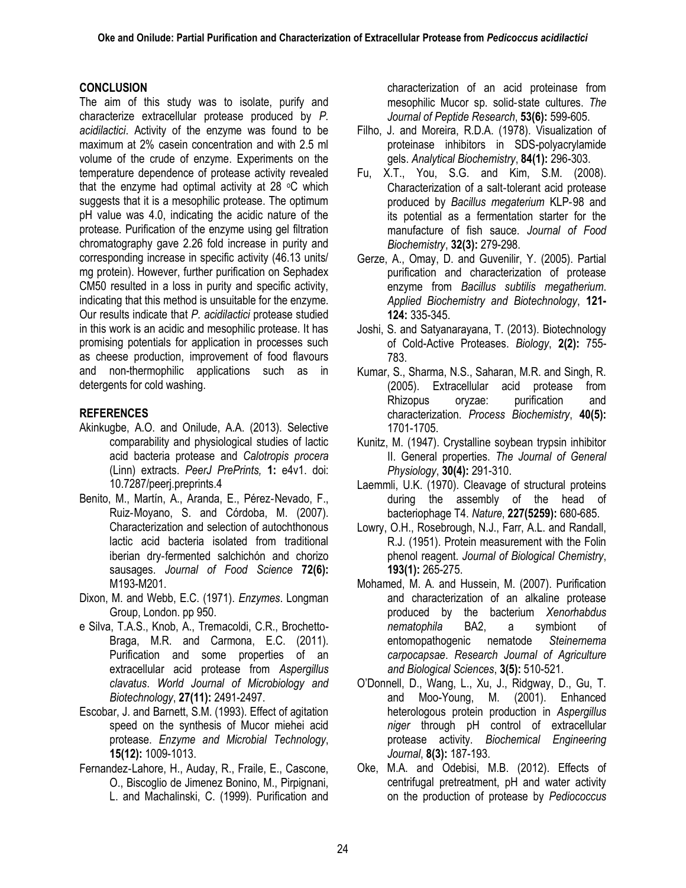### **CONCLUSION**

The aim of this study was to isolate, purify and characterize extracellular protease produced by *P. acidilactici*. Activity of the enzyme was found to be maximum at 2% casein concentration and with 2.5 ml volume of the crude of enzyme. Experiments on the temperature dependence of protease activity revealed that the enzyme had optimal activity at 28  $\degree$ C which suggests that it is a mesophilic protease. The optimum pH value was 4.0, indicating the acidic nature of the protease. Purification of the enzyme using gel filtration chromatography gave 2.26 fold increase in purity and corresponding increase in specific activity (46.13 units/ mg protein). However, further purification on Sephadex CM50 resulted in a loss in purity and specific activity, indicating that this method is unsuitable for the enzyme. Our results indicate that *P. acidilactici* protease studied in this work is an acidic and mesophilic protease. It has promising potentials for application in processes such as cheese production, improvement of food flavours and non-thermophilic applications such as in detergents for cold washing.

### **REFERENCES**

- Akinkugbe, A.O. and Onilude, A.A. (2013). Selective comparability and physiological studies of lactic acid bacteria protease and *Calotropis procera* (Linn) extracts. *PeerJ PrePrints,* **1:** e4v1. doi: 10.7287/peerj.preprints.4
- Benito, M., Martín, A., Aranda, E., Pérez‐Nevado, F., Ruiz‐Moyano, S. and Córdoba, M. (2007). Characterization and selection of autochthonous lactic acid bacteria isolated from traditional iberian dry‐fermented salchichón and chorizo sausages. *Journal of Food Science* **72(6):** M193-M201.
- Dixon, M. and Webb, E.C. (1971). *Enzymes*. Longman Group, London. pp 950.
- e Silva, T.A.S., Knob, A., Tremacoldi, C.R., Brochetto-Braga, M.R. and Carmona, E.C. (2011). Purification and some properties of an extracellular acid protease from *Aspergillus clavatus*. *World Journal of Microbiology and Biotechnology*, **27(11):** 2491-2497.
- Escobar, J. and Barnett, S.M. (1993). Effect of agitation speed on the synthesis of Mucor miehei acid protease. *Enzyme and Microbial Technology*, **15(12):** 1009-1013.
- Fernandez‐Lahore, H., Auday, R., Fraile, E., Cascone, O., Biscoglio de Jimenez Bonino, M., Pirpignani, L. and Machalinski, C. (1999). Purification and

characterization of an acid proteinase from mesophilic Mucor sp. solid‐state cultures. *The Journal of Peptide Research*, **53(6):** 599-605.

- Filho, J. and Moreira, R.D.A. (1978). Visualization of proteinase inhibitors in SDS-polyacrylamide gels. *Analytical Biochemistry*, **84(1):** 296-303.
- Fu, X.T., You, S.G. and Kim, S.M. (2008). Characterization of a salt‐tolerant acid protease produced by *Bacillus megaterium* KLP‐98 and its potential as a fermentation starter for the manufacture of fish sauce. *Journal of Food Biochemistry*, **32(3):** 279-298.
- Gerze, A., Omay, D. and Guvenilir, Y. (2005). Partial purification and characterization of protease enzyme from *Bacillus subtilis megatherium*. *Applied Biochemistry and Biotechnology*, **121- 124:** 335-345.
- Joshi, S. and Satyanarayana, T. (2013). Biotechnology of Cold-Active Proteases. *Biology*, **2(2):** 755- 783.
- Kumar, S., Sharma, N.S., Saharan, M.R. and Singh, R. (2005). Extracellular acid protease from Rhizopus oryzae: purification and characterization. *Process Biochemistry*, **40(5):** 1701-1705.
- Kunitz, M. (1947). Crystalline soybean trypsin inhibitor II. General properties. *The Journal of General Physiology*, **30(4):** 291-310.
- Laemmli, U.K. (1970). Cleavage of structural proteins during the assembly of the head of bacteriophage T4. *Nature*, **227(5259):** 680-685.
- Lowry, O.H., Rosebrough, N.J., Farr, A.L. and Randall, R.J. (1951). Protein measurement with the Folin phenol reagent. *Journal of Biological Chemistry*, **193(1):** 265-275.
- Mohamed, M. A. and Hussein, M. (2007). Purification and characterization of an alkaline protease produced by the bacterium *Xenorhabdus nematophila* BA2, a symbiont of entomopathogenic nematode *Steinernema carpocapsae*. *Research Journal of Agriculture and Biological Sciences*, **3(5):** 510-521.
- O'Donnell, D., Wang, L., Xu, J., Ridgway, D., Gu, T. and Moo-Young, M. (2001). Enhanced heterologous protein production in *Aspergillus niger* through pH control of extracellular protease activity. *Biochemical Engineering Journal*, **8(3):** 187-193.
- Oke, M.A. and Odebisi, M.B. (2012). Effects of centrifugal pretreatment, pH and water activity on the production of protease by *Pediococcus*